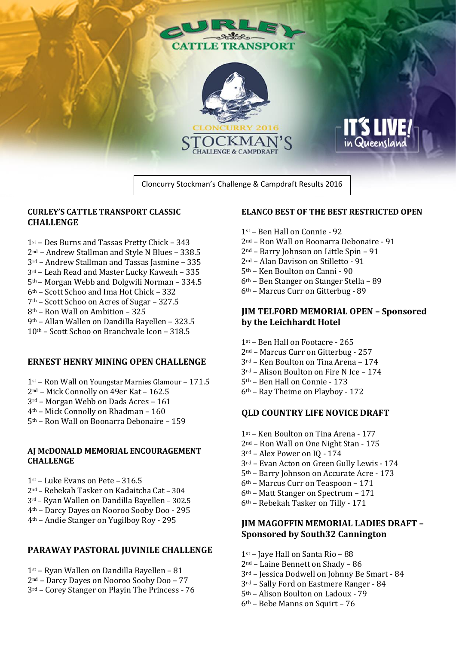



Cloncurry Stockman's Challenge & Campdraft Results 2016

### **CURLEY'S CATTLE TRANSPORT CLASSIC CHALLENGE**

- st Des Burns and Tassas Pretty Chick 343
- nd Andrew Stallman and Style N Blues 338.5
- rd Andrew Stallman and Tassas Jasmine 335
- rd Leah Read and Master Lucky Kaweah 335
- th Morgan Webb and Dolgwili Norman 334.5
- th Scott Schoo and Ima Hot Chick 332
- th Scott Schoo on Acres of Sugar 327.5
- th Ron Wall on Ambition 325
- th Allan Wallen on Dandilla Bayellen 323.5
- th Scott Schoo on Branchvale Icon 318.5

#### **ERNEST HENRY MINING OPEN CHALLENGE**

- st Ron Wall on Youngstar Marnies Glamour 171.5
- nd Mick Connolly on 49er Kat 162.5
- rd Morgan Webb on Dads Acres 161
- th Mick Connolly on Rhadman 160
- th Ron Wall on Boonarra Debonaire 159

#### **AJ McDONALD MEMORIAL ENCOURAGEMENT CHALLENGE**

- st Luke Evans on Pete 316.5
- nd Rebekah Tasker on Kadaitcha Cat 304
- rd Ryan Wallen on Dandilla Bayellen 302.5
- th Darcy Dayes on Nooroo Sooby Doo 295
- th Andie Stanger on Yugilboy Roy 295

## **PARAWAY PASTORAL JUVINILE CHALLENGE**

- st Ryan Wallen on Dandilla Bayellen 81
- nd Darcy Dayes on Nooroo Sooby Doo 77
- rd Corey Stanger on Playin The Princess 76

### **ELANCO BEST OF THE BEST RESTRICTED OPEN**

in Queenslav

- st Ben Hall on Connie 92
- nd Ron Wall on Boonarra Debonaire 91
- nd Barry Johnson on Little Spin 91
- nd Alan Davison on Stilletto 91
- th Ken Boulton on Canni 90
- th Ben Stanger on Stanger Stella 89
- th Marcus Curr on Gitterbug 89

## **JIM TELFORD MEMORIAL OPEN – Sponsored by the Leichhardt Hotel**

- st Ben Hall on Footacre 265
- nd Marcus Curr on Gitterbug 257
- rd Ken Boulton on Tina Arena 174
- rd Alison Boulton on Fire N Ice 174
- th Ben Hall on Connie 173
- th Ray Theime on Playboy 172

### **QLD COUNTRY LIFE NOVICE DRAFT**

- st Ken Boulton on Tina Arena 177
- nd Ron Wall on One Night Stan 175
- rd Alex Power on IQ 174
- rd Evan Acton on Green Gully Lewis 174
- th Barry Johnson on Accurate Acre 173
- th Marcus Curr on Teaspoon 171
- th Matt Stanger on Spectrum 171
- th Rebekah Tasker on Tilly 171

## **JIM MAGOFFIN MEMORIAL LADIES DRAFT – Sponsored by South32 Cannington**

- st Jaye Hall on Santa Rio 88
- nd Laine Bennett on Shady 86
- rd Jessica Dodwell on Johnny Be Smart 84
- rd Sally Ford on Eastmere Ranger 84
- th Alison Boulton on Ladoux 79
- th Bebe Manns on Squirt 76